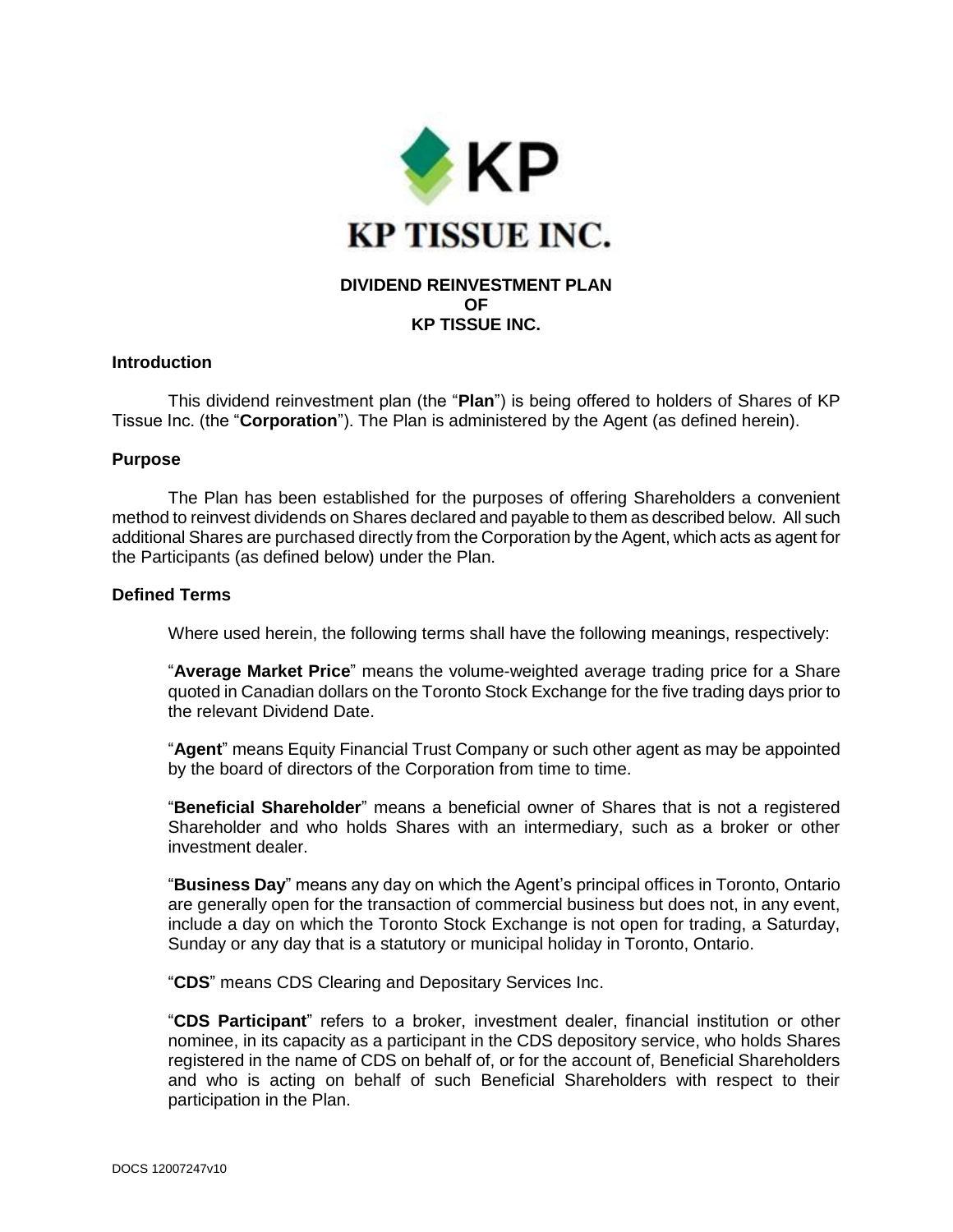

# **OF KP TISSUE INC.**

## **Introduction**

This dividend reinvestment plan (the "**Plan**") is being offered to holders of Shares of KP Tissue Inc. (the "**Corporation**"). The Plan is administered by the Agent (as defined herein).

#### **Purpose**

The Plan has been established for the purposes of offering Shareholders a convenient method to reinvest dividends on Shares declared and payable to them as described below. All such additional Shares are purchased directly from the Corporation by the Agent, which acts as agent for the Participants (as defined below) under the Plan.

## **Defined Terms**

Where used herein, the following terms shall have the following meanings, respectively:

"**Average Market Price**" means the volume-weighted average trading price for a Share quoted in Canadian dollars on the Toronto Stock Exchange for the five trading days prior to the relevant Dividend Date.

"**Agent**" means Equity Financial Trust Company or such other agent as may be appointed by the board of directors of the Corporation from time to time.

"**Beneficial Shareholder**" means a beneficial owner of Shares that is not a registered Shareholder and who holds Shares with an intermediary, such as a broker or other investment dealer.

"**Business Day**" means any day on which the Agent's principal offices in Toronto, Ontario are generally open for the transaction of commercial business but does not, in any event, include a day on which the Toronto Stock Exchange is not open for trading, a Saturday, Sunday or any day that is a statutory or municipal holiday in Toronto, Ontario.

"**CDS**" means CDS Clearing and Depositary Services Inc.

"**CDS Participant**" refers to a broker, investment dealer, financial institution or other nominee, in its capacity as a participant in the CDS depository service, who holds Shares registered in the name of CDS on behalf of, or for the account of, Beneficial Shareholders and who is acting on behalf of such Beneficial Shareholders with respect to their participation in the Plan.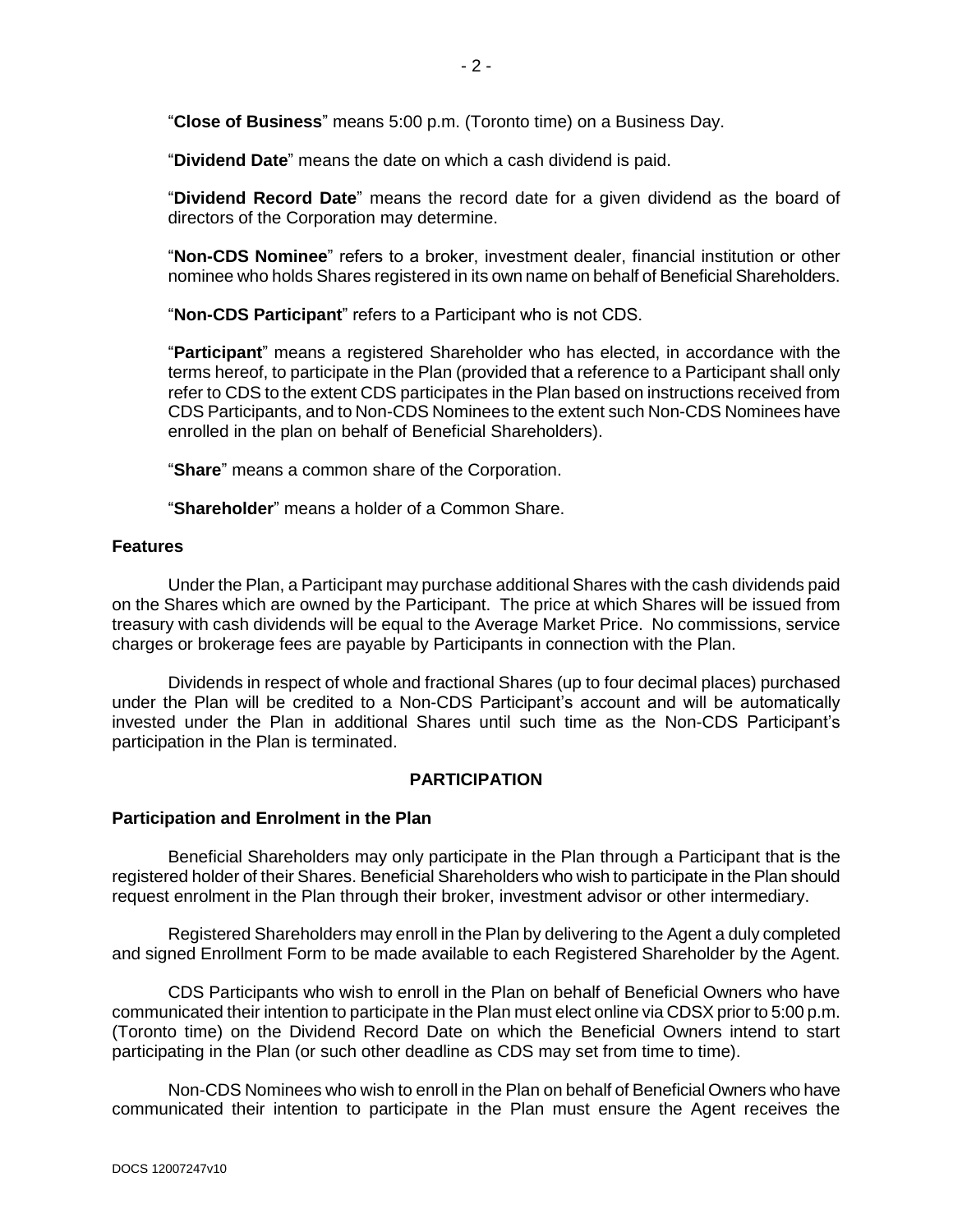"**Dividend Date**" means the date on which a cash dividend is paid.

"**Dividend Record Date**" means the record date for a given dividend as the board of directors of the Corporation may determine.

"**Non-CDS Nominee**" refers to a broker, investment dealer, financial institution or other nominee who holds Shares registered in its own name on behalf of Beneficial Shareholders.

"**Non-CDS Participant**" refers to a Participant who is not CDS.

"**Participant**" means a registered Shareholder who has elected, in accordance with the terms hereof, to participate in the Plan (provided that a reference to a Participant shall only refer to CDS to the extent CDS participates in the Plan based on instructions received from CDS Participants, and to Non-CDS Nominees to the extent such Non-CDS Nominees have enrolled in the plan on behalf of Beneficial Shareholders).

"**Share**" means a common share of the Corporation.

"**Shareholder**" means a holder of a Common Share.

### **Features**

Under the Plan, a Participant may purchase additional Shares with the cash dividends paid on the Shares which are owned by the Participant. The price at which Shares will be issued from treasury with cash dividends will be equal to the Average Market Price. No commissions, service charges or brokerage fees are payable by Participants in connection with the Plan.

Dividends in respect of whole and fractional Shares (up to four decimal places) purchased under the Plan will be credited to a Non-CDS Participant's account and will be automatically invested under the Plan in additional Shares until such time as the Non-CDS Participant's participation in the Plan is terminated.

# **PARTICIPATION**

#### **Participation and Enrolment in the Plan**

Beneficial Shareholders may only participate in the Plan through a Participant that is the registered holder of their Shares. Beneficial Shareholders who wish to participate in the Plan should request enrolment in the Plan through their broker, investment advisor or other intermediary.

Registered Shareholders may enroll in the Plan by delivering to the Agent a duly completed and signed Enrollment Form to be made available to each Registered Shareholder by the Agent.

CDS Participants who wish to enroll in the Plan on behalf of Beneficial Owners who have communicated their intention to participate in the Plan must elect online via CDSX prior to 5:00 p.m. (Toronto time) on the Dividend Record Date on which the Beneficial Owners intend to start participating in the Plan (or such other deadline as CDS may set from time to time).

Non-CDS Nominees who wish to enroll in the Plan on behalf of Beneficial Owners who have communicated their intention to participate in the Plan must ensure the Agent receives the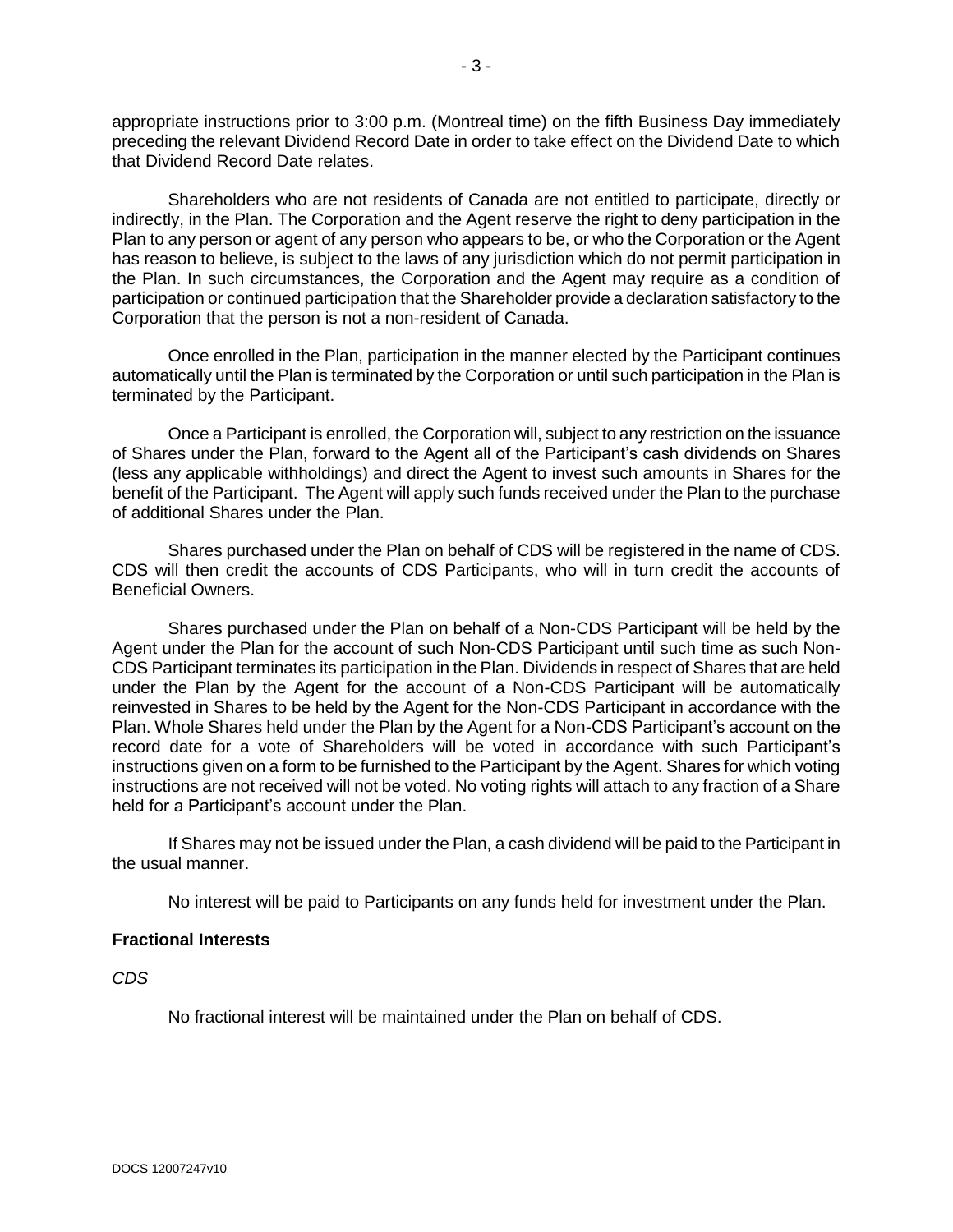appropriate instructions prior to 3:00 p.m. (Montreal time) on the fifth Business Day immediately preceding the relevant Dividend Record Date in order to take effect on the Dividend Date to which that Dividend Record Date relates.

Shareholders who are not residents of Canada are not entitled to participate, directly or indirectly, in the Plan. The Corporation and the Agent reserve the right to deny participation in the Plan to any person or agent of any person who appears to be, or who the Corporation or the Agent has reason to believe, is subject to the laws of any jurisdiction which do not permit participation in the Plan. In such circumstances, the Corporation and the Agent may require as a condition of participation or continued participation that the Shareholder provide a declaration satisfactory to the Corporation that the person is not a non-resident of Canada.

Once enrolled in the Plan, participation in the manner elected by the Participant continues automatically until the Plan is terminated by the Corporation or until such participation in the Plan is terminated by the Participant.

Once a Participant is enrolled, the Corporation will, subject to any restriction on the issuance of Shares under the Plan, forward to the Agent all of the Participant's cash dividends on Shares (less any applicable withholdings) and direct the Agent to invest such amounts in Shares for the benefit of the Participant. The Agent will apply such funds received under the Plan to the purchase of additional Shares under the Plan.

Shares purchased under the Plan on behalf of CDS will be registered in the name of CDS. CDS will then credit the accounts of CDS Participants, who will in turn credit the accounts of Beneficial Owners.

Shares purchased under the Plan on behalf of a Non-CDS Participant will be held by the Agent under the Plan for the account of such Non-CDS Participant until such time as such Non-CDS Participant terminates its participation in the Plan. Dividends in respect of Shares that are held under the Plan by the Agent for the account of a Non-CDS Participant will be automatically reinvested in Shares to be held by the Agent for the Non-CDS Participant in accordance with the Plan. Whole Shares held under the Plan by the Agent for a Non-CDS Participant's account on the record date for a vote of Shareholders will be voted in accordance with such Participant's instructions given on a form to be furnished to the Participant by the Agent. Shares for which voting instructions are not received will not be voted. No voting rights will attach to any fraction of a Share held for a Participant's account under the Plan.

If Shares may not be issued under the Plan, a cash dividend will be paid to the Participant in the usual manner.

No interest will be paid to Participants on any funds held for investment under the Plan.

## **Fractional Interests**

*CDS*

No fractional interest will be maintained under the Plan on behalf of CDS.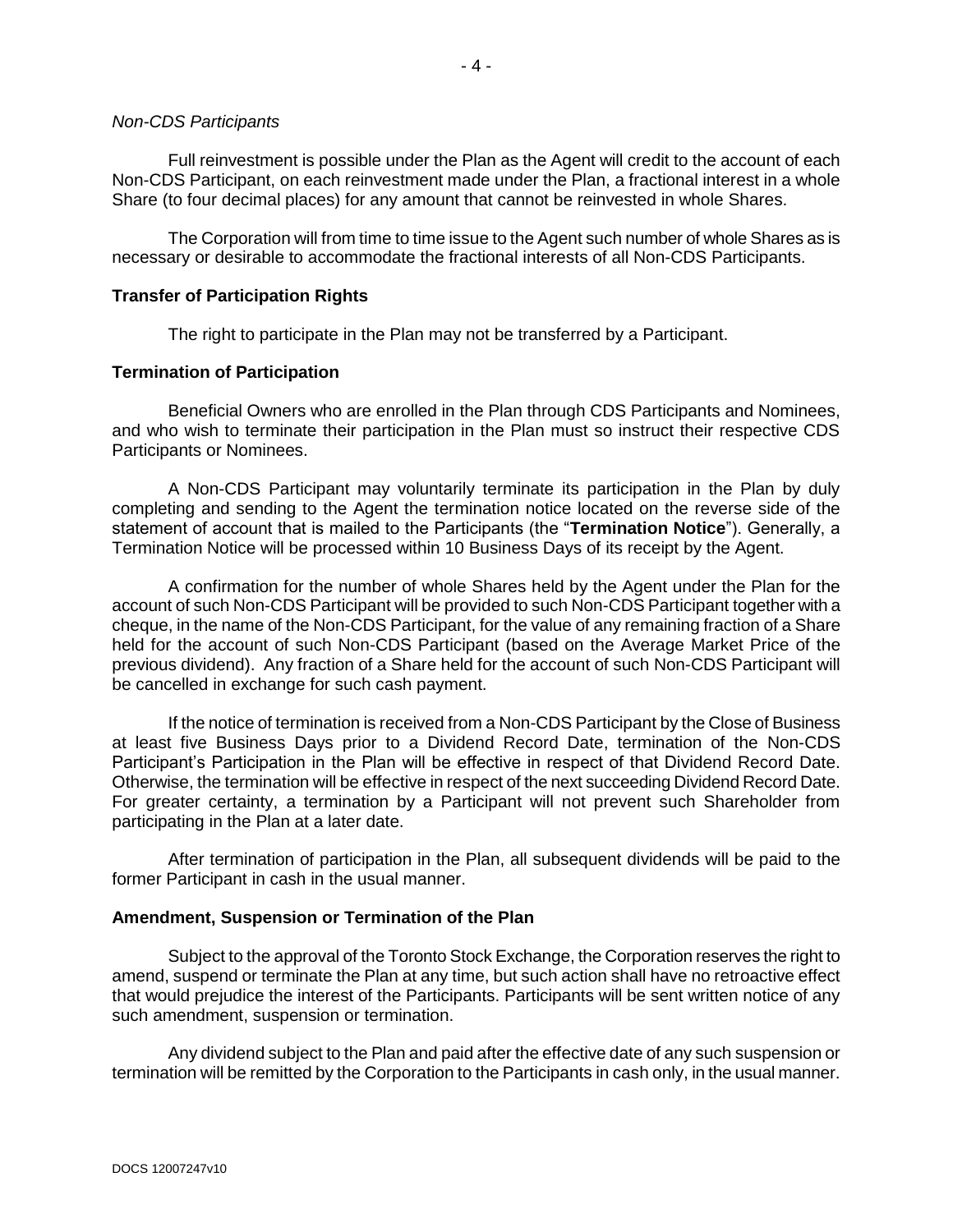#### *Non-CDS Participants*

Full reinvestment is possible under the Plan as the Agent will credit to the account of each Non-CDS Participant, on each reinvestment made under the Plan, a fractional interest in a whole Share (to four decimal places) for any amount that cannot be reinvested in whole Shares.

The Corporation will from time to time issue to the Agent such number of whole Shares as is necessary or desirable to accommodate the fractional interests of all Non-CDS Participants.

## **Transfer of Participation Rights**

The right to participate in the Plan may not be transferred by a Participant.

## **Termination of Participation**

Beneficial Owners who are enrolled in the Plan through CDS Participants and Nominees, and who wish to terminate their participation in the Plan must so instruct their respective CDS Participants or Nominees.

A Non-CDS Participant may voluntarily terminate its participation in the Plan by duly completing and sending to the Agent the termination notice located on the reverse side of the statement of account that is mailed to the Participants (the "**Termination Notice**"). Generally, a Termination Notice will be processed within 10 Business Days of its receipt by the Agent.

A confirmation for the number of whole Shares held by the Agent under the Plan for the account of such Non-CDS Participant will be provided to such Non-CDS Participant together with a cheque, in the name of the Non-CDS Participant, for the value of any remaining fraction of a Share held for the account of such Non-CDS Participant (based on the Average Market Price of the previous dividend). Any fraction of a Share held for the account of such Non-CDS Participant will be cancelled in exchange for such cash payment.

If the notice of termination is received from a Non-CDS Participant by the Close of Business at least five Business Days prior to a Dividend Record Date, termination of the Non-CDS Participant's Participation in the Plan will be effective in respect of that Dividend Record Date. Otherwise, the termination will be effective in respect of the next succeeding Dividend Record Date. For greater certainty, a termination by a Participant will not prevent such Shareholder from participating in the Plan at a later date.

After termination of participation in the Plan, all subsequent dividends will be paid to the former Participant in cash in the usual manner.

## **Amendment, Suspension or Termination of the Plan**

Subject to the approval of the Toronto Stock Exchange, the Corporation reserves the right to amend, suspend or terminate the Plan at any time, but such action shall have no retroactive effect that would prejudice the interest of the Participants. Participants will be sent written notice of any such amendment, suspension or termination.

Any dividend subject to the Plan and paid after the effective date of any such suspension or termination will be remitted by the Corporation to the Participants in cash only, in the usual manner.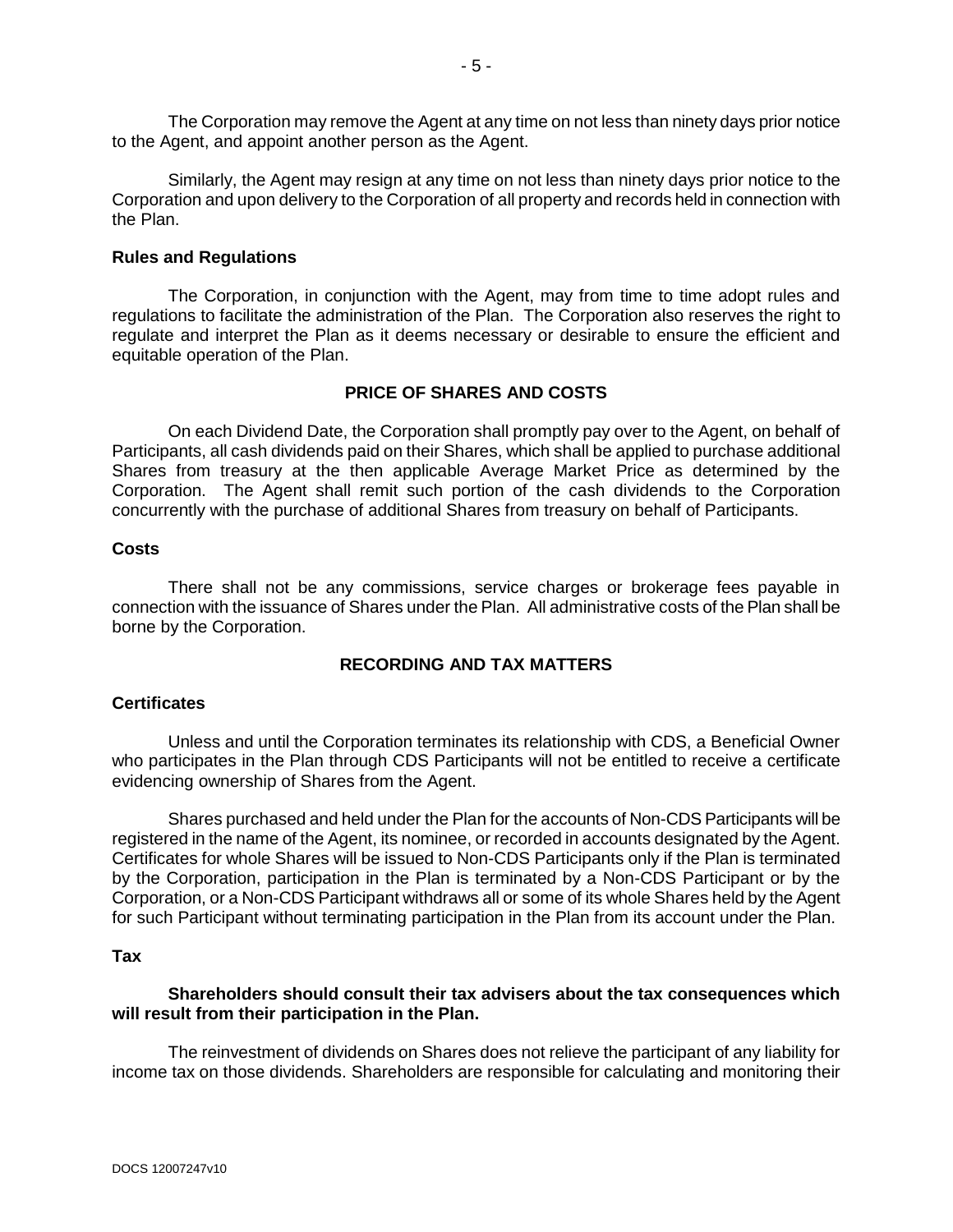The Corporation may remove the Agent at any time on not less than ninety days prior notice to the Agent, and appoint another person as the Agent.

Similarly, the Agent may resign at any time on not less than ninety days prior notice to the Corporation and upon delivery to the Corporation of all property and records held in connection with the Plan.

#### **Rules and Regulations**

The Corporation, in conjunction with the Agent, may from time to time adopt rules and regulations to facilitate the administration of the Plan. The Corporation also reserves the right to regulate and interpret the Plan as it deems necessary or desirable to ensure the efficient and equitable operation of the Plan.

## **PRICE OF SHARES AND COSTS**

On each Dividend Date, the Corporation shall promptly pay over to the Agent, on behalf of Participants, all cash dividends paid on their Shares, which shall be applied to purchase additional Shares from treasury at the then applicable Average Market Price as determined by the Corporation. The Agent shall remit such portion of the cash dividends to the Corporation concurrently with the purchase of additional Shares from treasury on behalf of Participants.

#### **Costs**

There shall not be any commissions, service charges or brokerage fees payable in connection with the issuance of Shares under the Plan. All administrative costs of the Plan shall be borne by the Corporation.

## **RECORDING AND TAX MATTERS**

#### **Certificates**

Unless and until the Corporation terminates its relationship with CDS, a Beneficial Owner who participates in the Plan through CDS Participants will not be entitled to receive a certificate evidencing ownership of Shares from the Agent.

Shares purchased and held under the Plan for the accounts of Non-CDS Participants will be registered in the name of the Agent, its nominee, or recorded in accounts designated by the Agent. Certificates for whole Shares will be issued to Non-CDS Participants only if the Plan is terminated by the Corporation, participation in the Plan is terminated by a Non-CDS Participant or by the Corporation, or a Non-CDS Participant withdraws all or some of its whole Shares held by the Agent for such Participant without terminating participation in the Plan from its account under the Plan.

#### **Tax**

## **Shareholders should consult their tax advisers about the tax consequences which will result from their participation in the Plan.**

The reinvestment of dividends on Shares does not relieve the participant of any liability for income tax on those dividends. Shareholders are responsible for calculating and monitoring their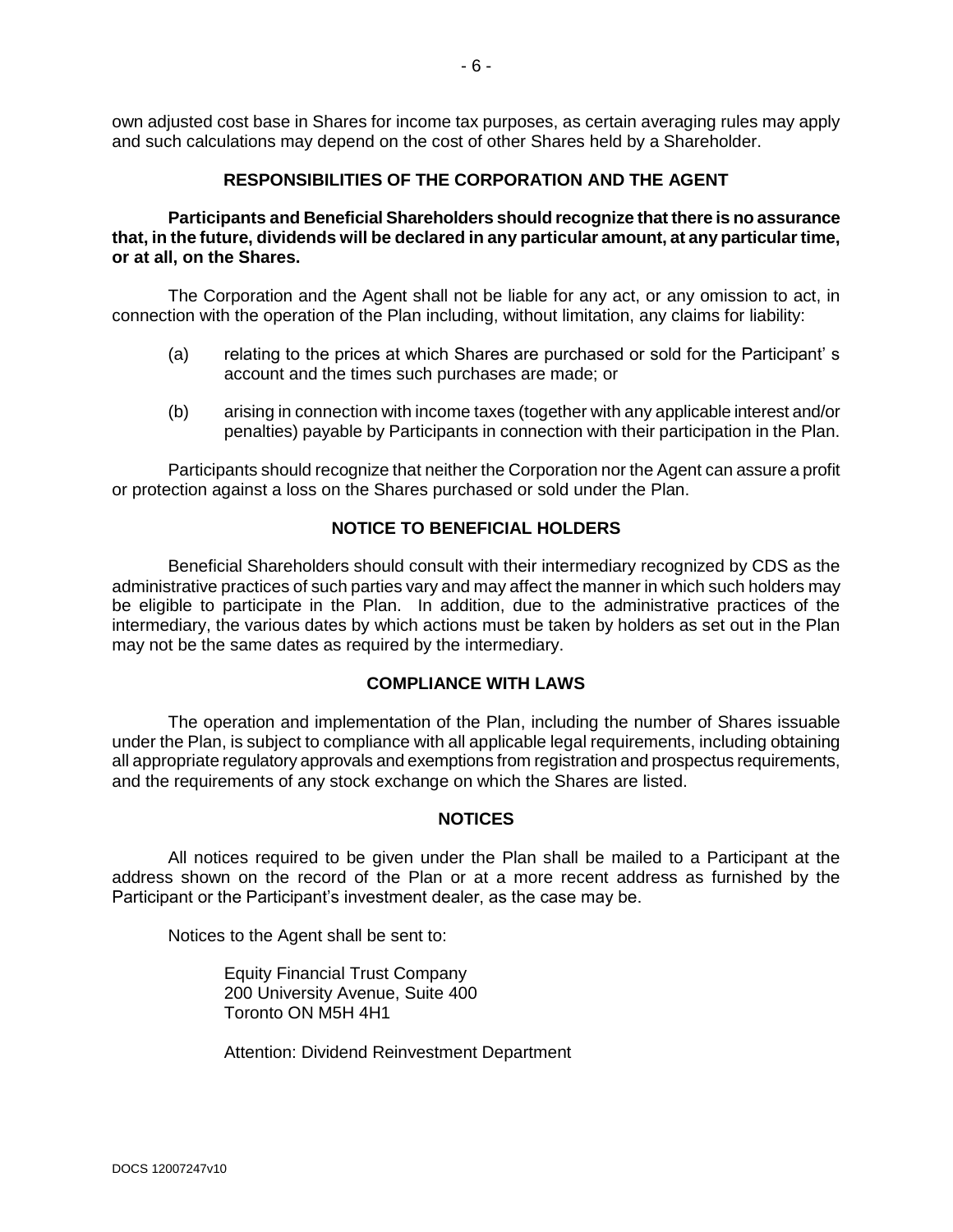own adjusted cost base in Shares for income tax purposes, as certain averaging rules may apply and such calculations may depend on the cost of other Shares held by a Shareholder.

## **RESPONSIBILITIES OF THE CORPORATION AND THE AGENT**

**Participants and Beneficial Shareholders should recognize that there is no assurance that, in the future, dividends will be declared in any particular amount, at any particular time, or at all, on the Shares.** 

The Corporation and the Agent shall not be liable for any act, or any omission to act, in connection with the operation of the Plan including, without limitation, any claims for liability:

- (a) relating to the prices at which Shares are purchased or sold for the Participant' s account and the times such purchases are made; or
- (b) arising in connection with income taxes (together with any applicable interest and/or penalties) payable by Participants in connection with their participation in the Plan.

Participants should recognize that neither the Corporation nor the Agent can assure a profit or protection against a loss on the Shares purchased or sold under the Plan.

## **NOTICE TO BENEFICIAL HOLDERS**

Beneficial Shareholders should consult with their intermediary recognized by CDS as the administrative practices of such parties vary and may affect the manner in which such holders may be eligible to participate in the Plan. In addition, due to the administrative practices of the intermediary, the various dates by which actions must be taken by holders as set out in the Plan may not be the same dates as required by the intermediary.

#### **COMPLIANCE WITH LAWS**

The operation and implementation of the Plan, including the number of Shares issuable under the Plan, is subject to compliance with all applicable legal requirements, including obtaining all appropriate regulatory approvals and exemptions from registration and prospectus requirements, and the requirements of any stock exchange on which the Shares are listed.

#### **NOTICES**

All notices required to be given under the Plan shall be mailed to a Participant at the address shown on the record of the Plan or at a more recent address as furnished by the Participant or the Participant's investment dealer, as the case may be.

Notices to the Agent shall be sent to:

Equity Financial Trust Company 200 University Avenue, Suite 400 Toronto ON M5H 4H1

Attention: Dividend Reinvestment Department